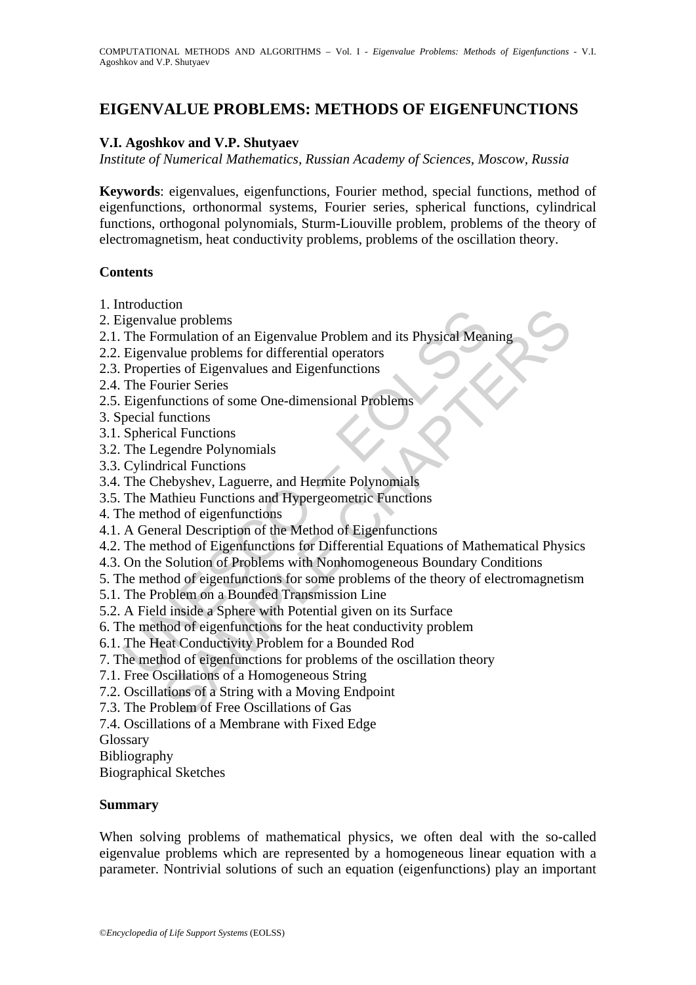# **EIGENVALUE PROBLEMS: METHODS OF EIGENFUNCTIONS**

### **V.I. Agoshkov and V.P. Shutyaev**

*Institute of Numerical Mathematics, Russian Academy of Sciences, Moscow, Russia* 

**Keywords**: eigenvalues, eigenfunctions, Fourier method, special functions, method of eigenfunctions, orthonormal systems, Fourier series, spherical functions, cylindrical functions, orthogonal polynomials, Sturm-Liouville problem, problems of the theory of electromagnetism, heat conductivity problems, problems of the oscillation theory.

#### **Contents**

- 1. Introduction
- 2. Eigenvalue problems
- is<br>envalue problems<br>The Formulation of an Eigenvalue Problem and its Physical Mean<br>Eigenvalue problems for differential operators<br>Properties of Eigenvalues and Eigenfunctions<br>The Fourie Terrics<br>Eigenfunctions of some One-d 2.1. The Formulation of an Eigenvalue Problem and its Physical Meaning
- 2.2. Eigenvalue problems for differential operators
- 2.3. Properties of Eigenvalues and Eigenfunctions
- 2.4. The Fourier Series
- 2.5. Eigenfunctions of some One-dimensional Problems
- 3. Special functions
- 3.1. Spherical Functions
- 3.2. The Legendre Polynomials
- 3.3. Cylindrical Functions
- 3.4. The Chebyshev, Laguerre, and Hermite Polynomials
- 3.5. The Mathieu Functions and Hypergeometric Functions
- 4. The method of eigenfunctions
- 4.1. A General Description of the Method of Eigenfunctions
- From the problems<br>the problems<br>of the problems for differential operators<br>die problems for differential operators<br>direct problems of Eigenvalues and Eigenfunctions<br>ouncir Series<br>incurions of some One-dimensional Problems<br>t 4.2. The method of Eigenfunctions for Differential Equations of Mathematical Physics
- 4.3. On the Solution of Problems with Nonhomogeneous Boundary Conditions
- 5. The method of eigenfunctions for some problems of the theory of electromagnetism
- 5.1. The Problem on a Bounded Transmission Line
- 5.2. A Field inside a Sphere with Potential given on its Surface
- 6. The method of eigenfunctions for the heat conductivity problem
- 6.1. The Heat Conductivity Problem for a Bounded Rod
- 7. The method of eigenfunctions for problems of the oscillation theory
- 7.1. Free Oscillations of a Homogeneous String
- 7.2. Oscillations of a String with a Moving Endpoint
- 7.3. The Problem of Free Oscillations of Gas
- 7.4. Oscillations of a Membrane with Fixed Edge
- Glossary
- Bibliography

Biographical Sketches

#### **Summary**

When solving problems of mathematical physics, we often deal with the so-called eigenvalue problems which are represented by a homogeneous linear equation with a parameter. Nontrivial solutions of such an equation (eigenfunctions) play an important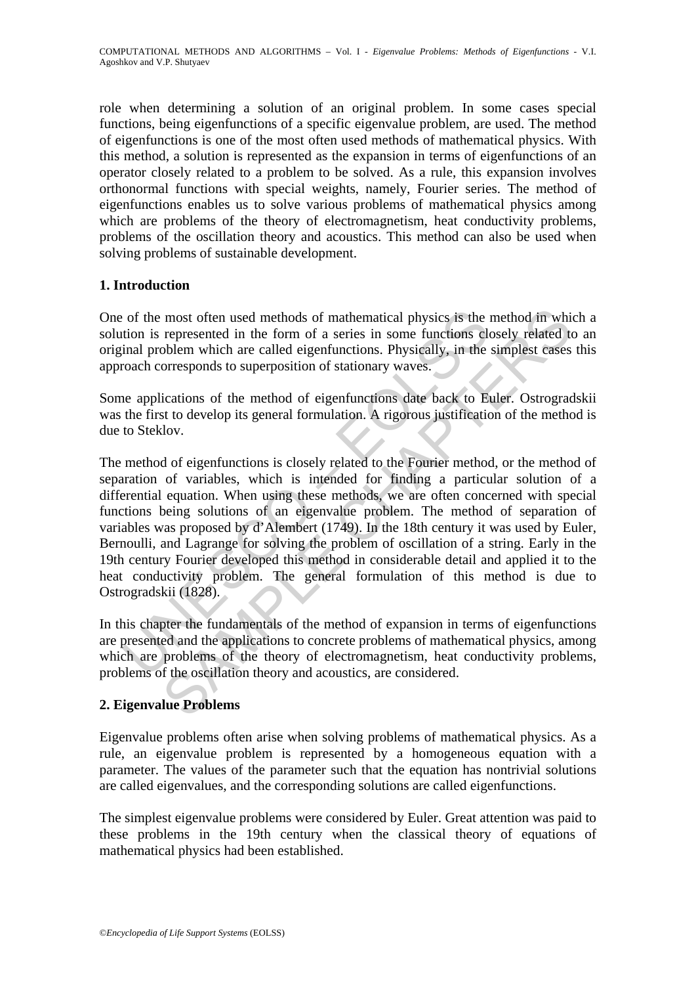role when determining a solution of an original problem. In some cases special functions, being eigenfunctions of a specific eigenvalue problem, are used. The method of eigenfunctions is one of the most often used methods of mathematical physics. With this method, a solution is represented as the expansion in terms of eigenfunctions of an operator closely related to a problem to be solved. As a rule, this expansion involves orthonormal functions with special weights, namely, Fourier series. The method of eigenfunctions enables us to solve various problems of mathematical physics among which are problems of the theory of electromagnetism, heat conductivity problems, problems of the oscillation theory and acoustics. This method can also be used when solving problems of sustainable development.

# **1. Introduction**

One of the most often used methods of mathematical physics is the method in which a solution is represented in the form of a series in some functions closely related to an original problem which are called eigenfunctions. Physically, in the simplest cases this approach corresponds to superposition of stationary waves.

Some applications of the method of eigenfunctions date back to Euler. Ostrogradskii was the first to develop its general formulation. A rigorous justification of the method is due to Steklov.

of the most often used methods of mathematical physics is the<br>tion is represented in the form of a series in some functions cl<br>inal problem which are called eigenfunctions. Physically, in the<br>roach corresponds to superposi most often used methods of mathematical physics is the method in whi<br>represented in the form of a series in some functions closely related to<br>bblem which are called eigenfunctions. Physically, in the simplest cases<br>orresp The method of eigenfunctions is closely related to the Fourier method, or the method of separation of variables, which is intended for finding a particular solution of a differential equation. When using these methods, we are often concerned with special functions being solutions of an eigenvalue problem. The method of separation of variables was proposed by d'Alembert (1749). In the 18th century it was used by Euler, Bernoulli, and Lagrange for solving the problem of oscillation of a string. Early in the 19th century Fourier developed this method in considerable detail and applied it to the heat conductivity problem. The general formulation of this method is due to Ostrogradskii (1828).

In this chapter the fundamentals of the method of expansion in terms of eigenfunctions are presented and the applications to concrete problems of mathematical physics, among which are problems of the theory of electromagnetism, heat conductivity problems, problems of the oscillation theory and acoustics, are considered.

## **2. Eigenvalue Problems**

Eigenvalue problems often arise when solving problems of mathematical physics. As a rule, an eigenvalue problem is represented by a homogeneous equation with a parameter. The values of the parameter such that the equation has nontrivial solutions are called eigenvalues, and the corresponding solutions are called eigenfunctions.

The simplest eigenvalue problems were considered by Euler. Great attention was paid to these problems in the 19th century when the classical theory of equations of mathematical physics had been established.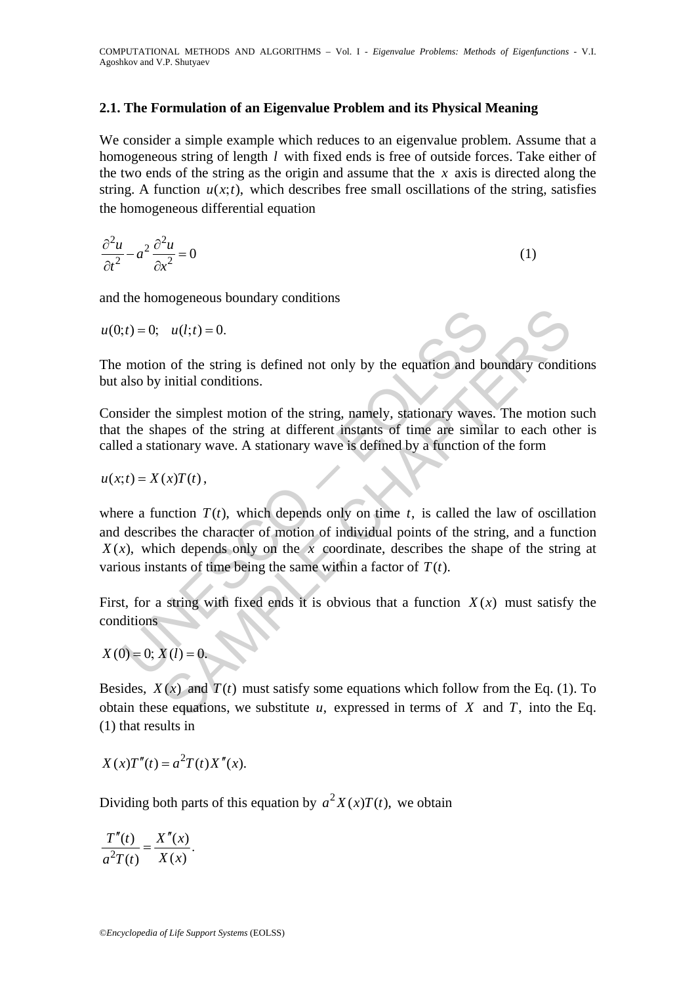### **2.1. The Formulation of an Eigenvalue Problem and its Physical Meaning**

We consider a simple example which reduces to an eigenvalue problem. Assume that a homogeneous string of length *l* with fixed ends is free of outside forces. Take either of the two ends of the string as the origin and assume that the  $x$  axis is directed along the string. A function  $u(x; t)$ , which describes free small oscillations of the string, satisfies the homogeneous differential equation

$$
\frac{\partial^2 u}{\partial t^2} - a^2 \frac{\partial^2 u}{\partial x^2} = 0
$$
 (1)

and the homogeneous boundary conditions

$$
u(0;t) = 0;
$$
  $u(l;t) = 0.$ 

The motion of the string is defined not only by the equation and boundary conditions but also by initial conditions.

Consider the simplest motion of the string, namely, stationary waves. The motion such that the shapes of the string at different instants of time are similar to each other is called a stationary wave. A stationary wave is defined by a function of the form

$$
u(x;t) = X(x)T(t),
$$

(t) = 0;  $u(l;t) = 0$ .<br>
motion of the string is defined not only by the equation and be<br>
also by initial conditions.<br>
sider the simplest motion of the string, namely, stationary waves<br>
the shapes of the string at different i  $u(l;t) = 0$ .<br>
n of the string is defined not only by the equation and boundary condit<br>
initial conditions.<br>
he simplest motion of the string, namely, stationary waves. The motion sapes of the string at different instants of where a function  $T(t)$ , which depends only on time *t*, is called the law of oscillation and describes the character of motion of individual points of the string, and a function  $X(x)$ , which depends only on the *x* coordinate, describes the shape of the string at various instants of time being the same within a factor of  $T(t)$ .

First, for a string with fixed ends it is obvious that a function  $X(x)$  must satisfy the conditions

 $X(0) = 0; X(l) = 0.$ 

Besides,  $X(x)$  and  $T(t)$  must satisfy some equations which follow from the Eq. (1). To obtain these equations, we substitute  $u$ , expressed in terms of  $X$  and  $T$ , into the Eq. (1) that results in

$$
X(x)T''(t) = a^2T(t)X''(x).
$$

Dividing both parts of this equation by  $a^2 X(x)T(t)$ , we obtain

$$
\frac{T''(t)}{a^2T(t)} = \frac{X''(x)}{X(x)}.
$$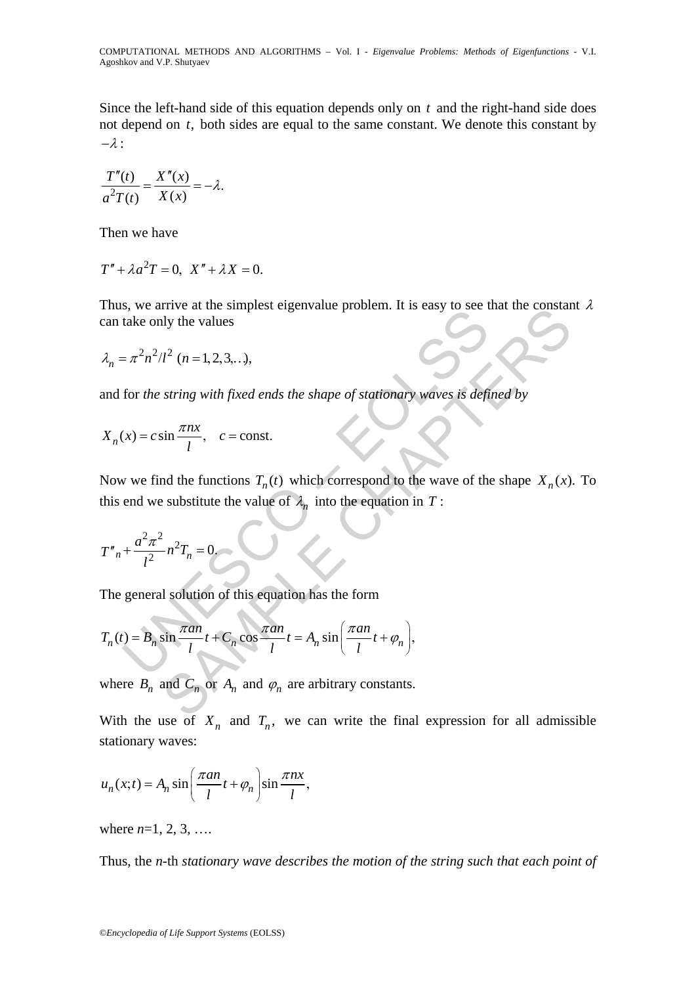Since the left-hand side of this equation depends only on *t* and the right-hand side does not depend on *t*, both sides are equal to the same constant. We denote this constant by  $-\lambda$  :

$$
\frac{T''(t)}{a^2T(t)} = \frac{X''(x)}{X(x)} = -\lambda.
$$

Then we have

$$
T'' + \lambda a^2 T = 0, \ \ X'' + \lambda X = 0.
$$

Thus, we arrive at the simplest eigenvalue problem. It is easy to see that the constant  $\lambda$ can take only the values

$$
\lambda_n = \pi^2 n^2 / l^2 \ (n = 1, 2, 3, \ldots),
$$

and for *the string with fixed ends the shape of stationary waves is defined by*

$$
X_n(x) = c \sin \frac{\pi nx}{l}, \quad c = \text{const.}
$$

s, we arrive at the simplest eigenvalue problem. It is easy to see the only the values<br>  $= \pi^2 n^2/l^2$  ( $n = 1, 2, 3, ...$ ),<br>
for the string with fixed ends the shape of stationary waves is defited<br>  $f(x) = c \sin \frac{\pi nx}{l}$ ,  $c = \text{const.$ The action of the simplest eigenvalue problem. It is easy to see that the constant<br>
y the values<br>  $T^2$  ( $n = 1, 2, 3, ...$ ),<br>
string with fixed ends the shape of stationary waves is defined by<br>
sin  $\frac{\pi nx}{l}$ ,  $c = \text{const.}$ <br>
an Now we find the functions  $T_n(t)$  which correspond to the wave of the shape  $X_n(x)$ . To this end we substitute the value of  $\lambda_n$  into the equation in *T* :

$$
T''_n + \frac{a^2 \pi^2}{l^2} n^2 T_n = 0.
$$

The general solution of this equation has the form

$$
T_n(t) = B_n \sin \frac{\pi a n}{l} t + C_n \cos \frac{\pi a n}{l} t = A_n \sin \left( \frac{\pi a n}{l} t + \varphi_n \right),
$$

where  $B_n$  and  $C_n$  or  $A_n$  and  $\varphi_n$  are arbitrary constants.

With the use of  $X_n$  and  $T_n$ , we can write the final expression for all admissible stationary waves:

$$
u_n(x;t) = A_n \sin\left(\frac{\pi a n}{l}t + \varphi_n\right) \sin\frac{\pi n x}{l},
$$

where *n*=1, 2, 3, ….

Thus, the *n*-th *stationary wave describes the motion of the string such that each point of*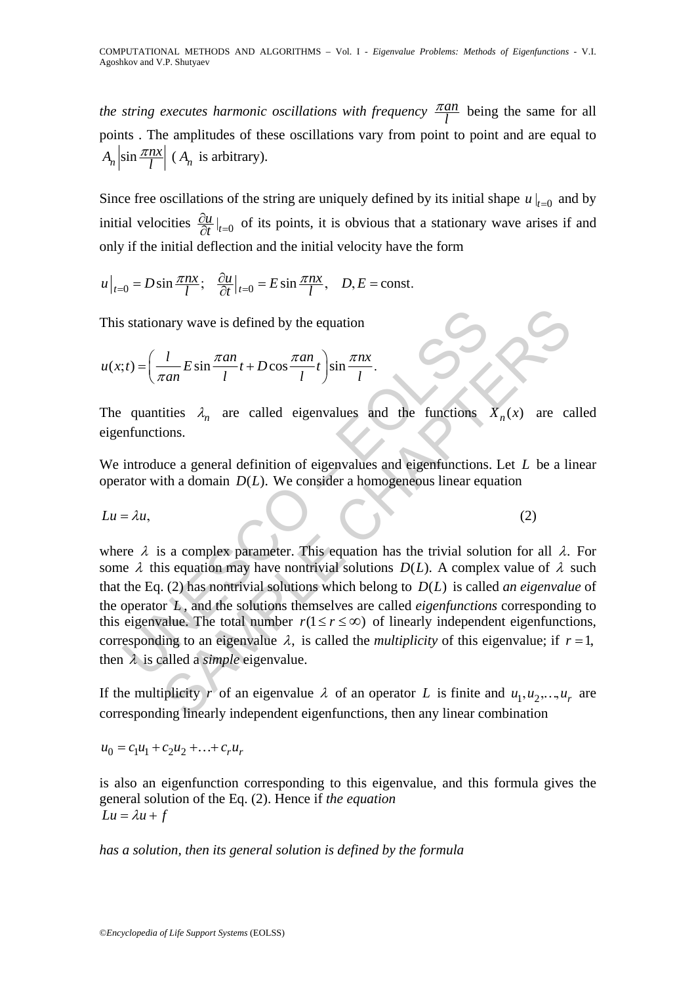*the string executes harmonic oscillations with frequency*  $\frac{\pi a n}{l}$  being the same for all points . The amplitudes of these oscillations vary from point to point and are equal to  $A_n \left| \sin \frac{\pi nx}{l} \right|$  ( $A_n$  is arbitrary).

Since free oscillations of the string are uniquely defined by its initial shape  $u|_{t=0}$  and by initial velocities  $\frac{\partial u}{\partial t}|_{t=0}$  of its points, it is obvious that a stationary wave arises if and only if the initial deflection and the initial velocity have the form

 $u|_{t=0} = D \sin \frac{\pi nx}{l}$ ;  $\frac{\partial u}{\partial t}|_{t=0} = E \sin \frac{\pi nx}{l}$ ,  $D, E = \text{const.}$ 

This stationary wave is defined by the equation

$$
u(x,t) = \left(\frac{l}{\pi a n} E \sin \frac{\pi a n}{l} t + D \cos \frac{\pi a n}{l} t\right) \sin \frac{\pi n x}{l}.
$$

The quantities  $\lambda_n$  are called eigenvalues and the functions  $X_n(x)$  are called eigenfunctions.

We introduce a general definition of eigenvalues and eigenfunctions. Let *L* be a linear operator with a domain  $D(L)$ . We consider a homogeneous linear equation

$$
Lu = \lambda u,\tag{2}
$$

s stationary wave is defined by the equation<br>  $\therefore t$ ) =  $\left(\frac{l}{\pi a n} E \sin \frac{\pi a n}{l} t + D \cos \frac{\pi a n}{l} t\right) \sin \frac{\pi n x}{l}$ .<br>
quantities  $\lambda_n$  are called eigenvalues and the functions<br>
nfunctions.<br>
introduce a general definition of ei  $\frac{1}{\tau_{\alpha n}} E \sin \frac{\pi a n}{l} t + D \cos \frac{\pi a n}{l} t \sin \frac{\pi n x}{l}$ <br>
sities  $\lambda_n$  are called eigenvalues and the functions  $X_n(x)$  are calculations.<br>
tities  $\lambda_n$  are called eigenvalues and eigenfunctions. Let *L* be a little a domain  $D$ where  $\lambda$  is a complex parameter. This equation has the trivial solution for all  $\lambda$ . For some  $\lambda$  this equation may have nontrivial solutions  $D(L)$ . A complex value of  $\lambda$  such that the Eq. (2) has nontrivial solutions which belong to  $D(L)$  is called *an eigenvalue* of the operator *L* , and the solutions themselves are called *eigenfunctions* corresponding to this eigenvalue. The total number  $r(1 \le r \le \infty)$  of linearly independent eigenfunctions, corresponding to an eigenvalue  $\lambda$ , is called the *multiplicity* of this eigenvalue; if  $r = 1$ , then λ is called a *simple* eigenvalue.

If the multiplicity *r* of an eigenvalue  $\lambda$  of an operator *L* is finite and  $u_1, u_2, ..., u_r$  are corresponding linearly independent eigenfunctions, then any linear combination

$$
u_0 = c_1 u_1 + c_2 u_2 + \dots + c_r u_r
$$

is also an eigenfunction corresponding to this eigenvalue, and this formula gives the general solution of the Eq. (2). Hence if *the equation*  $Lu = \lambda u + f$ 

*has a solution, then its general solution is defined by the formula*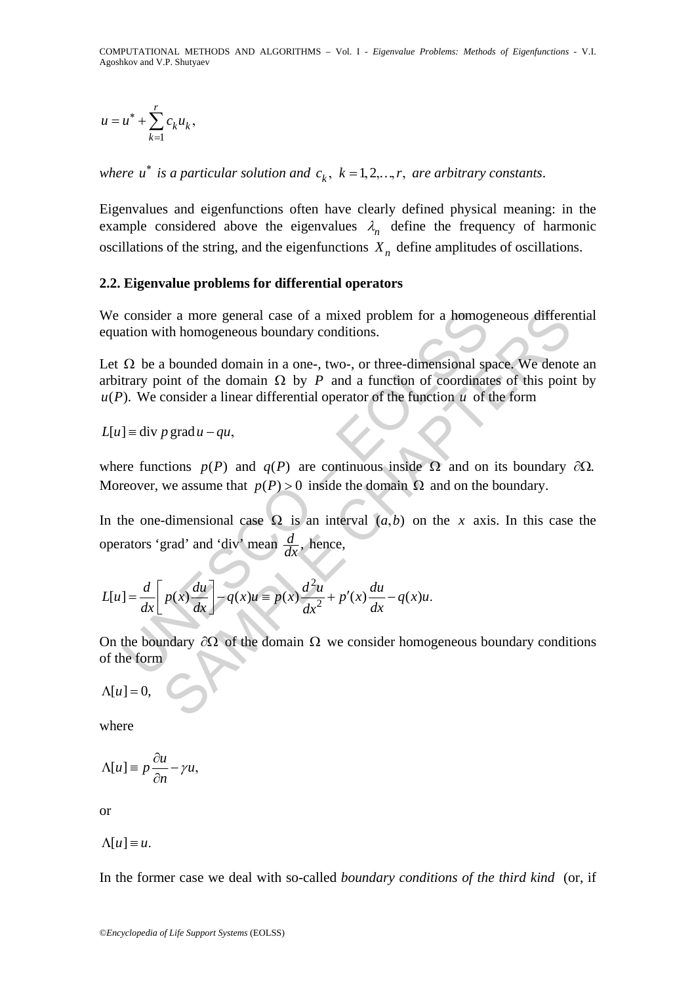$$
u = u^* + \sum_{k=1}^r c_k u_k,
$$

*where*  $u^*$  *is a particular solution and*  $c_k$ ,  $k = 1, 2, ..., r$ , *are arbitrary constants.* 

Eigenvalues and eigenfunctions often have clearly defined physical meaning: in the example considered above the eigenvalues  $\lambda_n$  define the frequency of harmonic oscillations of the string, and the eigenfunctions  $X_n$  define amplitudes of oscillations.

### **2.2. Eigenvalue problems for differential operators**

We consider a more general case of a mixed problem for a homogeneous differential equation with homogeneous boundary conditions.

consider a more general case of a mixed problem for a homogration with homogeneous boundary conditions.<br>  $\Omega$  be a bounded domain in a one-, two-, or three-dimensional sp<br>trary point of the domain  $\Omega$  by P and a function er a more general case of a mixed problem for a homogeneous different<br>th homogeneous boundary conditions.<br>a bounded domain in a one-, two-, or three-dimensional space. We denot<br>oint of the domain  $\Omega$  by P and a function Let  $\Omega$  be a bounded domain in a one-, two-, or three-dimensional space. We denote an arbitrary point of the domain  $\Omega$  by *P* and a function of coordinates of this point by  $u(P)$ . We consider a linear differential operator of the function  $u$  of the form

$$
L[u] \equiv \text{div } p \text{ grad } u - qu,
$$

where functions  $p(P)$  and  $q(P)$  are continuous inside  $\Omega$  and on its boundary  $\partial\Omega$ . Moreover, we assume that  $p(P) > 0$  inside the domain  $\Omega$  and on the boundary.

In the one-dimensional case  $\Omega$  is an interval  $(a, b)$  on the *x* axis. In this case the operators 'grad' and 'div' mean  $\frac{d}{dx}$ , hence,

$$
L[u] = \frac{d}{dx} \left[ p(x) \frac{du}{dx} \right] - q(x)u = p(x) \frac{d^2u}{dx^2} + p'(x) \frac{du}{dx} - q(x)u.
$$

On the boundary  $\partial\Omega$  of the domain  $\Omega$  we consider homogeneous boundary conditions of the form

$$
\Lambda[u]=0,
$$

where

$$
\Lambda[u] \equiv p \frac{\partial u}{\partial n} - \gamma u,
$$

or

$$
\Lambda[u] \equiv u.
$$

In the former case we deal with so-called *boundary conditions of the third kind* (or, if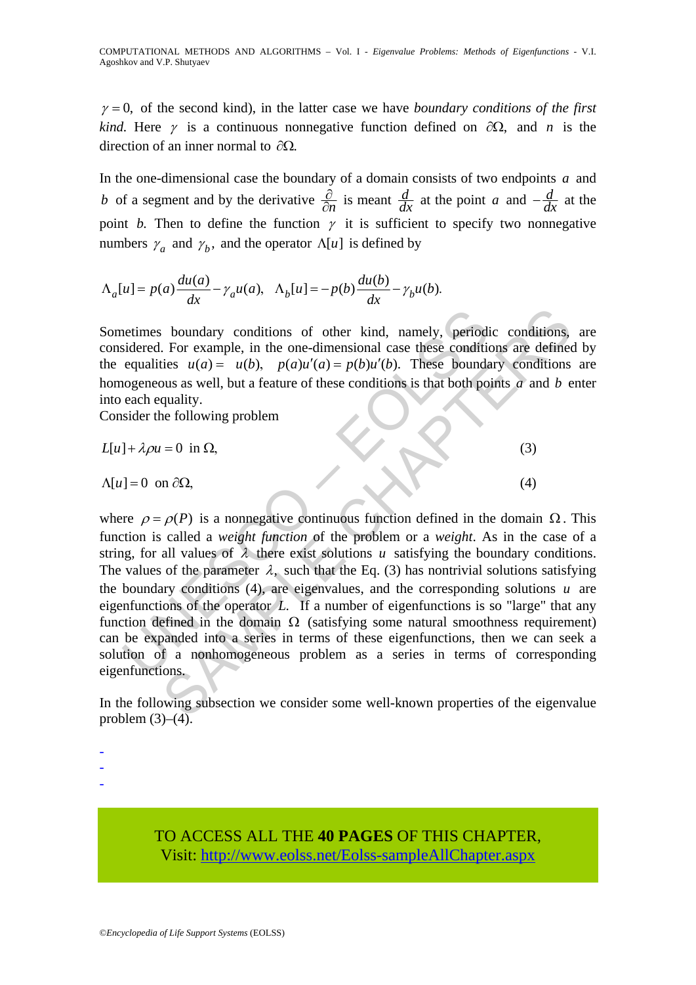$\gamma = 0$ , of the second kind), in the latter case we have *boundary conditions of the first kind.* Here  $\gamma$  is a continuous nonnegative function defined on  $\partial\Omega$ , and *n* is the direction of an inner normal to ∂Ω.

In the one-dimensional case the boundary of a domain consists of two endpoints *a* and *b* of a segment and by the derivative  $\frac{\partial}{\partial n}$  is meant  $\frac{d}{dx}$  at the point *a* and  $-\frac{d}{dx}$  at the point *b*. Then to define the function  $\gamma$  it is sufficient to specify two nonnegative numbers  $\gamma_a$  and  $\gamma_b$ , and the operator  $\Lambda[u]$  is defined by

$$
\Lambda_a[u] = p(a)\frac{du(a)}{dx} - \gamma_a u(a), \quad \Lambda_b[u] = -p(b)\frac{du(b)}{dx} - \gamma_b u(b).
$$

Sometimes boundary conditions of other kind, namely, periodic conditions, are considered. For example, in the one-dimensional case these conditions are defined by the equalities  $u(a) = u(b)$ ,  $p(a)u'(a) = p(b)u'(b)$ . These boundary conditions are homogeneous as well, but a feature of these conditions is that both points *a* and *b* enter into each equality.

Consider the following problem

$$
L[u] + \lambda \rho u = 0 \text{ in } \Omega,\tag{3}
$$

 $\Lambda[u] = 0$  on  $\partial\Omega$ , (4)

netimes boundary conditions of other kind, namely, periodivident. For example, in the one-dimensional case these condition<br>equalities  $u(a) = u(b)$ ,  $p(a)u'(a) = p(b)u'(b)$ . These boundary example, but a feature of these conditions boundary conditions of other kind, namely, periodic conditions.<br>
For example, in the one-dimensional case these conditions are defined<br>
ties  $u(a) = u(b)$ ,  $p(a)u'(a) = p(b)u'(b)$ . These boundary conditions<br>
ous as well, but a fea where  $\rho = \rho(P)$  is a nonnegative continuous function defined in the domain  $\Omega$ . This function is called a *weight function* of the problem or a *weight*. As in the case of a string, for all values of  $\lambda$  there exist solutions *u* satisfying the boundary conditions. The values of the parameter  $\lambda$ , such that the Eq. (3) has nontrivial solutions satisfying the boundary conditions  $(4)$ , are eigenvalues, and the corresponding solutions  $u$  are eigenfunctions of the operator *L*. If a number of eigenfunctions is so "large" that any function defined in the domain  $\Omega$  (satisfying some natural smoothness requirement) can be expanded into a series in terms of these eigenfunctions, then we can seek a solution of a nonhomogeneous problem as a series in terms of corresponding eigenfunctions.

In the following subsection we consider some well-known properties of the eigenvalue problem  $(3)–(4)$ .

-

-

-

TO ACCESS ALL THE **40 PAGES** OF THIS CHAPTER, Visit[: http://www.eolss.net/Eolss-sampleAllChapter.aspx](https://www.eolss.net/ebooklib/sc_cart.aspx?File=E6-04-01-02)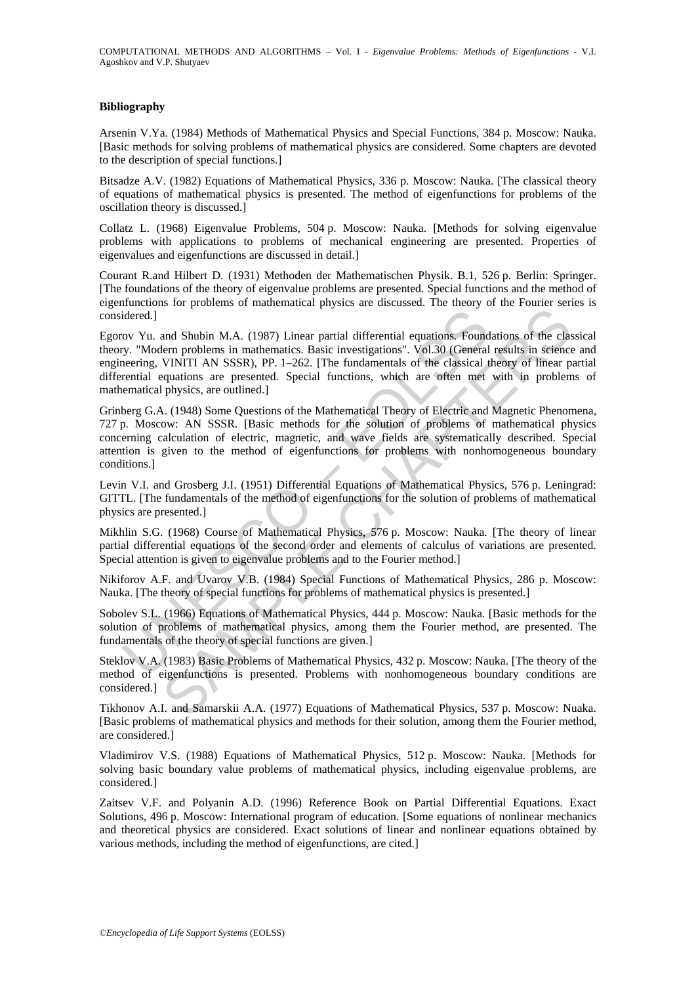#### **Bibliography**

Arsenin V.Ya. (1984) Methods of Mathematical Physics and Special Functions, 384 p. Moscow: Nauka. [Basic methods for solving problems of mathematical physics are considered. Some chapters are devoted to the description of special functions.]

Bitsadze A.V. (1982) Equations of Mathematical Physics, 336 p. Moscow: Nauka. [The classical theory of equations of mathematical physics is presented. The method of eigenfunctions for problems of the oscillation theory is discussed.]

Collatz L. (1968) Eigenvalue Problems, 504 p. Moscow: Nauka. [Methods for solving eigenvalue problems with applications to problems of mechanical engineering are presented. Properties of eigenvalues and eigenfunctions are discussed in detail.]

Courant R.and Hilbert D. (1931) Methoden der Mathematischen Physik. B.1, 526 p. Berlin: Springer. [The foundations of the theory of eigenvalue problems are presented. Special functions and the method of eigenfunctions for problems of mathematical physics are discussed. The theory of the Fourier series is considered.]

idered.]<br>
wo Yu. and Shubin M.A. (1987) Linear partial differential equations. Found<br>
y. "Modern problems in mathematics. Basic investigations". Vol.30 (General<br>
neering, VINITI AN SSSR), PP. 1–262. [The fundamentals of th From problems in mathematics). Eliant parameters and differential equations. Foundations of the clase VINITI AN SSSR), PP. 1–262. [The fundamentals of the classical neory of Ener problems were presented. Special functions, Egorov Yu. and Shubin M.A. (1987) Linear partial differential equations. Foundations of the classical theory. "Modern problems in mathematics. Basic investigations". Vol.30 (General results in science and engineering, VINITI AN SSSR), PP. 1–262. [The fundamentals of the classical theory of linear partial differential equations are presented. Special functions, which are often met with in problems of mathematical physics, are outlined.]

Grinberg G.A. (1948) Some Questions of the Mathematical Theory of Electric and Magnetic Phenomena, 727 p. Moscow: AN SSSR. [Basic methods for the solution of problems of mathematical physics concerning calculation of electric, magnetic, and wave fields are systematically described. Special attention is given to the method of eigenfunctions for problems with nonhomogeneous boundary conditions.]

Levin V.I. and Grosberg J.I. (1951) Differential Equations of Mathematical Physics, 576 p. Leningrad: GITTL. [The fundamentals of the method of eigenfunctions for the solution of problems of mathematical physics are presented.]

Mikhlin S.G. (1968) Course of Mathematical Physics, 576 p. Moscow: Nauka. [The theory of linear partial differential equations of the second order and elements of calculus of variations are presented. Special attention is given to eigenvalue problems and to the Fourier method.]

Nikiforov A.F. and Uvarov V.B. (1984) Special Functions of Mathematical Physics, 286 p. Moscow: Nauka. [The theory of special functions for problems of mathematical physics is presented.]

Sobolev S.L. (1966) Equations of Mathematical Physics, 444 p. Moscow: Nauka. [Basic methods for the solution of problems of mathematical physics, among them the Fourier method, are presented. The fundamentals of the theory of special functions are given.]

Steklov V.A. (1983) Basic Problems of Mathematical Physics, 432 p. Moscow: Nauka. [The theory of the method of eigenfunctions is presented. Problems with nonhomogeneous boundary conditions are considered.]

Tikhonov A.I. and Samarskii A.A. (1977) Equations of Mathematical Physics, 537 p. Moscow: Nuaka. [Basic problems of mathematical physics and methods for their solution, among them the Fourier method, are considered.]

Vladimirov V.S. (1988) Equations of Mathematical Physics, 512 p. Moscow: Nauka. [Methods for solving basic boundary value problems of mathematical physics, including eigenvalue problems, are considered.]

Zaitsev V.F. and Polyanin A.D. (1996) Reference Book on Partial Differential Equations. Exact Solutions, 496 p. Moscow: International program of education. [Some equations of nonlinear mechanics and theoretical physics are considered. Exact solutions of linear and nonlinear equations obtained by various methods, including the method of eigenfunctions, are cited.]